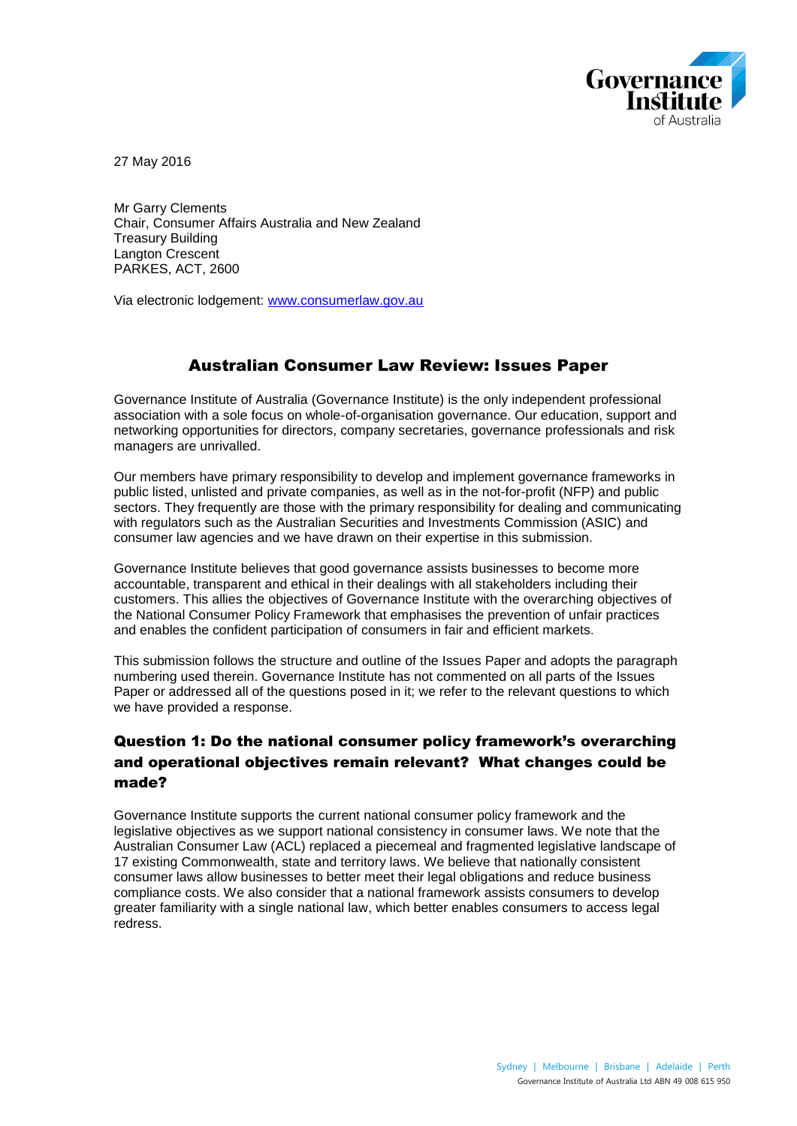

27 May 2016

Mr Garry Clements Chair, Consumer Affairs Australia and New Zealand Treasury Building Langton Crescent PARKES, ACT, 2600

Via electronic lodgement: [www.consumerlaw.gov.au](http://www.consumerlaw.gov.au/)

## Australian Consumer Law Review: Issues Paper

Governance Institute of Australia (Governance Institute) is the only independent professional association with a sole focus on whole-of-organisation governance. Our education, support and networking opportunities for directors, company secretaries, governance professionals and risk managers are unrivalled.

Our members have primary responsibility to develop and implement governance frameworks in public listed, unlisted and private companies, as well as in the not-for-profit (NFP) and public sectors. They frequently are those with the primary responsibility for dealing and communicating with regulators such as the Australian Securities and Investments Commission (ASIC) and consumer law agencies and we have drawn on their expertise in this submission.

Governance Institute believes that good governance assists businesses to become more accountable, transparent and ethical in their dealings with all stakeholders including their customers. This allies the objectives of Governance Institute with the overarching objectives of the National Consumer Policy Framework that emphasises the prevention of unfair practices and enables the confident participation of consumers in fair and efficient markets.

This submission follows the structure and outline of the Issues Paper and adopts the paragraph numbering used therein. Governance Institute has not commented on all parts of the Issues Paper or addressed all of the questions posed in it; we refer to the relevant questions to which we have provided a response.

## Question 1: Do the national consumer policy framework's overarching and operational objectives remain relevant? What changes could be made?

Governance Institute supports the current national consumer policy framework and the legislative objectives as we support national consistency in consumer laws. We note that the Australian Consumer Law (ACL) replaced a piecemeal and fragmented legislative landscape of 17 existing Commonwealth, state and territory laws. We believe that nationally consistent consumer laws allow businesses to better meet their legal obligations and reduce business compliance costs. We also consider that a national framework assists consumers to develop greater familiarity with a single national law, which better enables consumers to access legal redress.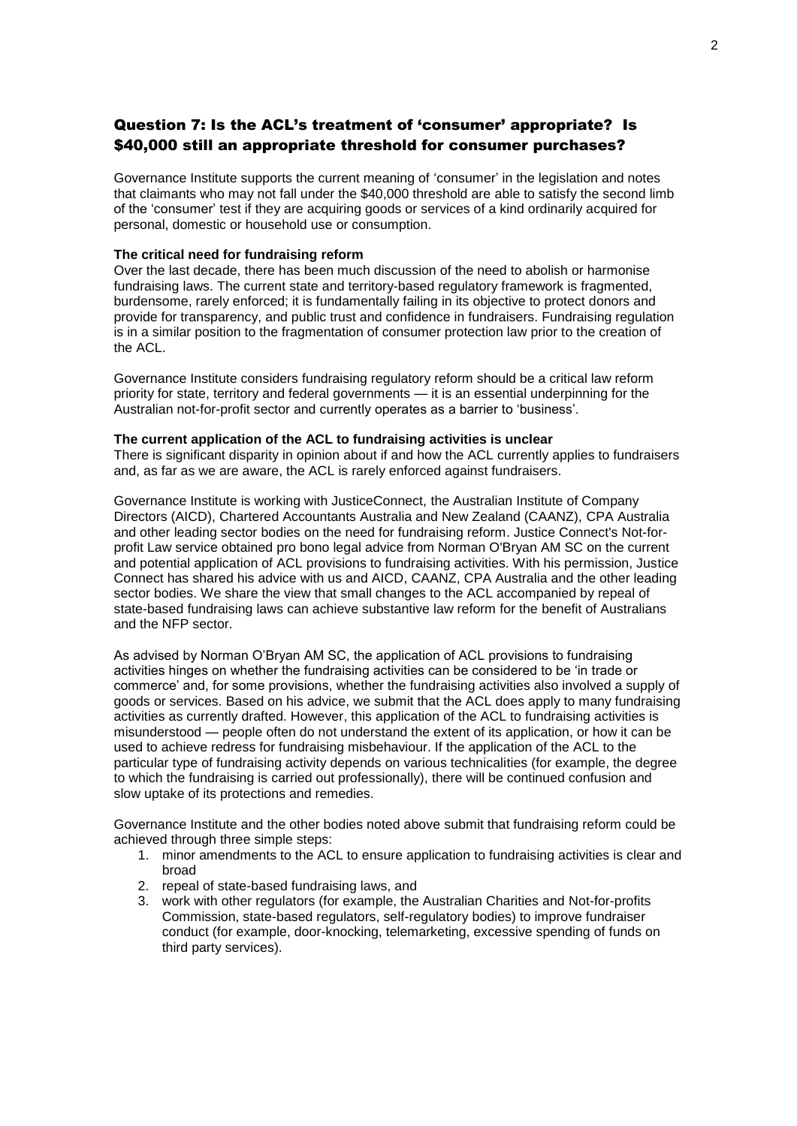## Question 7: Is the ACL's treatment of 'consumer' appropriate? Is \$40,000 still an appropriate threshold for consumer purchases?

Governance Institute supports the current meaning of 'consumer' in the legislation and notes that claimants who may not fall under the \$40,000 threshold are able to satisfy the second limb of the 'consumer' test if they are acquiring goods or services of a kind ordinarily acquired for personal, domestic or household use or consumption.

#### **The critical need for fundraising reform**

Over the last decade, there has been much discussion of the need to abolish or harmonise fundraising laws. The current state and territory-based regulatory framework is fragmented, burdensome, rarely enforced; it is fundamentally failing in its objective to protect donors and provide for transparency, and public trust and confidence in fundraisers. Fundraising regulation is in a similar position to the fragmentation of consumer protection law prior to the creation of the ACL.

Governance Institute considers fundraising regulatory reform should be a critical law reform priority for state, territory and federal governments — it is an essential underpinning for the Australian not-for-profit sector and currently operates as a barrier to 'business'.

#### **The current application of the ACL to fundraising activities is unclear**

There is significant disparity in opinion about if and how the ACL currently applies to fundraisers and, as far as we are aware, the ACL is rarely enforced against fundraisers.

Governance Institute is working with JusticeConnect, the Australian Institute of Company Directors (AICD), Chartered Accountants Australia and New Zealand (CAANZ), CPA Australia and other leading sector bodies on the need for fundraising reform. Justice Connect's Not-forprofit Law service obtained pro bono legal advice from Norman O'Bryan AM SC on the current and potential application of ACL provisions to fundraising activities. With his permission, Justice Connect has shared his advice with us and AICD, CAANZ, CPA Australia and the other leading sector bodies. We share the view that small changes to the ACL accompanied by repeal of state-based fundraising laws can achieve substantive law reform for the benefit of Australians and the NFP sector.

As advised by Norman O'Bryan AM SC, the application of ACL provisions to fundraising activities hinges on whether the fundraising activities can be considered to be 'in trade or commerce' and, for some provisions, whether the fundraising activities also involved a supply of goods or services. Based on his advice, we submit that the ACL does apply to many fundraising activities as currently drafted. However, this application of the ACL to fundraising activities is misunderstood — people often do not understand the extent of its application, or how it can be used to achieve redress for fundraising misbehaviour. If the application of the ACL to the particular type of fundraising activity depends on various technicalities (for example, the degree to which the fundraising is carried out professionally), there will be continued confusion and slow uptake of its protections and remedies.

Governance Institute and the other bodies noted above submit that fundraising reform could be achieved through three simple steps:

- 1. minor amendments to the ACL to ensure application to fundraising activities is clear and broad
- 2. repeal of state-based fundraising laws, and
- 3. work with other regulators (for example, the Australian Charities and Not-for-profits Commission, state-based regulators, self-regulatory bodies) to improve fundraiser conduct (for example, door-knocking, telemarketing, excessive spending of funds on third party services).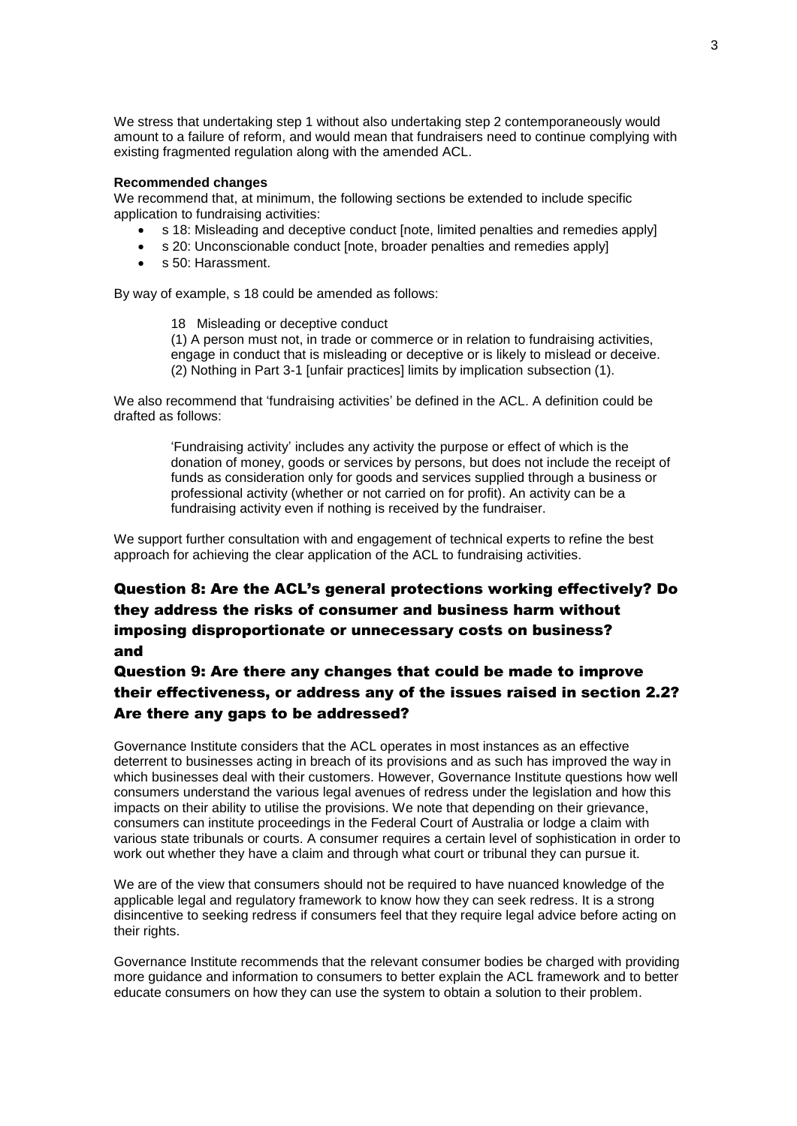We stress that undertaking step 1 without also undertaking step 2 contemporaneously would amount to a failure of reform, and would mean that fundraisers need to continue complying with existing fragmented regulation along with the amended ACL.

#### **Recommended changes**

We recommend that, at minimum, the following sections be extended to include specific application to fundraising activities:

- s 18: Misleading and deceptive conduct [note, limited penalties and remedies apply]
- s 20: Unconscionable conduct [note, broader penalties and remedies apply]
- s 50: Harassment.

By way of example, s 18 could be amended as follows:

18 Misleading or deceptive conduct (1) A person must not, in trade or commerce or in relation to fundraising activities, engage in conduct that is misleading or deceptive or is likely to mislead or deceive. (2) Nothing in Part 3-1 [unfair practices] limits by implication subsection (1).

We also recommend that 'fundraising activities' be defined in the ACL. A definition could be drafted as follows:

> 'Fundraising activity' includes any activity the purpose or effect of which is the donation of money, goods or services by persons, but does not include the receipt of funds as consideration only for goods and services supplied through a business or professional activity (whether or not carried on for profit). An activity can be a fundraising activity even if nothing is received by the fundraiser.

We support further consultation with and engagement of technical experts to refine the best approach for achieving the clear application of the ACL to fundraising activities.

# Question 8: Are the ACL's general protections working effectively? Do they address the risks of consumer and business harm without imposing disproportionate or unnecessary costs on business? and

# Question 9: Are there any changes that could be made to improve their effectiveness, or address any of the issues raised in section 2.2? Are there any gaps to be addressed?

Governance Institute considers that the ACL operates in most instances as an effective deterrent to businesses acting in breach of its provisions and as such has improved the way in which businesses deal with their customers. However, Governance Institute questions how well consumers understand the various legal avenues of redress under the legislation and how this impacts on their ability to utilise the provisions. We note that depending on their grievance, consumers can institute proceedings in the Federal Court of Australia or lodge a claim with various state tribunals or courts. A consumer requires a certain level of sophistication in order to work out whether they have a claim and through what court or tribunal they can pursue it.

We are of the view that consumers should not be required to have nuanced knowledge of the applicable legal and regulatory framework to know how they can seek redress. It is a strong disincentive to seeking redress if consumers feel that they require legal advice before acting on their rights.

Governance Institute recommends that the relevant consumer bodies be charged with providing more guidance and information to consumers to better explain the ACL framework and to better educate consumers on how they can use the system to obtain a solution to their problem.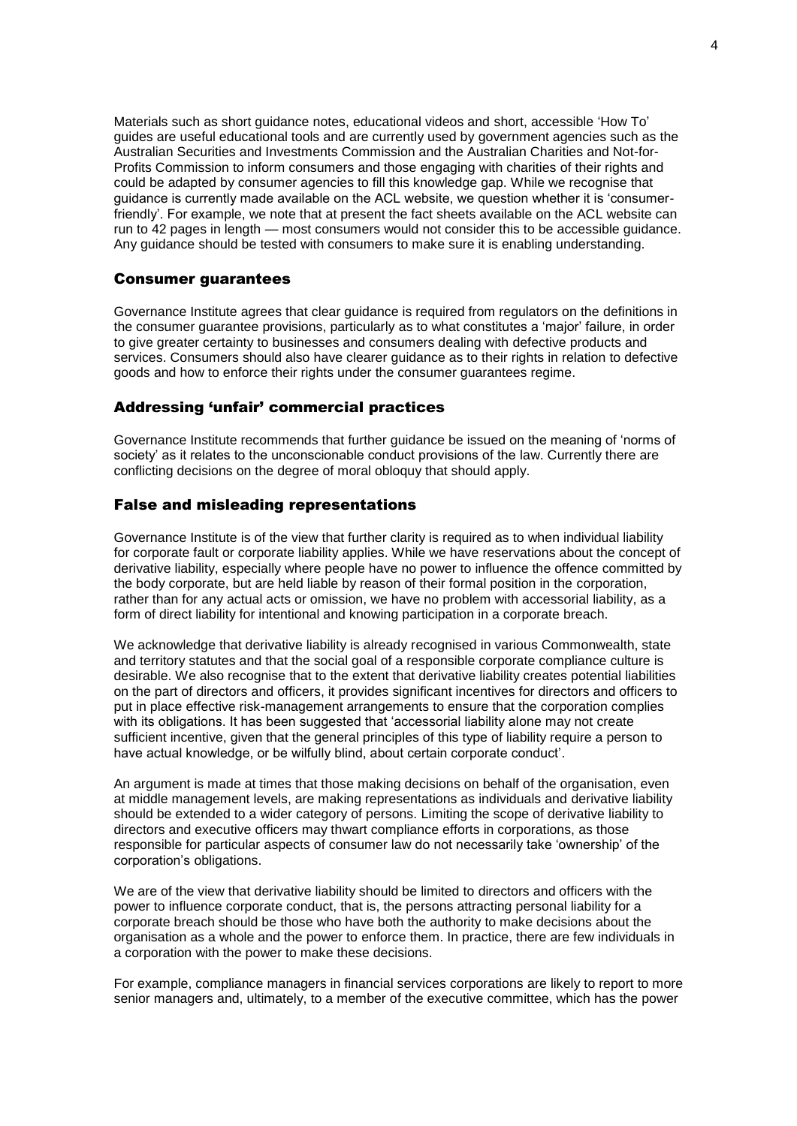Materials such as short guidance notes, educational videos and short, accessible 'How To' guides are useful educational tools and are currently used by government agencies such as the Australian Securities and Investments Commission and the Australian Charities and Not-for-Profits Commission to inform consumers and those engaging with charities of their rights and could be adapted by consumer agencies to fill this knowledge gap. While we recognise that guidance is currently made available on the ACL website, we question whether it is 'consumerfriendly'. For example, we note that at present the fact sheets available on the ACL website can run to 42 pages in length — most consumers would not consider this to be accessible guidance. Any guidance should be tested with consumers to make sure it is enabling understanding.

### Consumer guarantees

Governance Institute agrees that clear guidance is required from regulators on the definitions in the consumer guarantee provisions, particularly as to what constitutes a 'major' failure, in order to give greater certainty to businesses and consumers dealing with defective products and services. Consumers should also have clearer guidance as to their rights in relation to defective goods and how to enforce their rights under the consumer guarantees regime.

### Addressing 'unfair' commercial practices

Governance Institute recommends that further guidance be issued on the meaning of 'norms of society' as it relates to the unconscionable conduct provisions of the law. Currently there are conflicting decisions on the degree of moral obloquy that should apply.

### False and misleading representations

Governance Institute is of the view that further clarity is required as to when individual liability for corporate fault or corporate liability applies. While we have reservations about the concept of derivative liability, especially where people have no power to influence the offence committed by the body corporate, but are held liable by reason of their formal position in the corporation, rather than for any actual acts or omission, we have no problem with accessorial liability, as a form of direct liability for intentional and knowing participation in a corporate breach.

We acknowledge that derivative liability is already recognised in various Commonwealth, state and territory statutes and that the social goal of a responsible corporate compliance culture is desirable. We also recognise that to the extent that derivative liability creates potential liabilities on the part of directors and officers, it provides significant incentives for directors and officers to put in place effective risk-management arrangements to ensure that the corporation complies with its obligations. It has been suggested that 'accessorial liability alone may not create sufficient incentive, given that the general principles of this type of liability require a person to have actual knowledge, or be wilfully blind, about certain corporate conduct'.

An argument is made at times that those making decisions on behalf of the organisation, even at middle management levels, are making representations as individuals and derivative liability should be extended to a wider category of persons. Limiting the scope of derivative liability to directors and executive officers may thwart compliance efforts in corporations, as those responsible for particular aspects of consumer law do not necessarily take 'ownership' of the corporation's obligations.

We are of the view that derivative liability should be limited to directors and officers with the power to influence corporate conduct, that is, the persons attracting personal liability for a corporate breach should be those who have both the authority to make decisions about the organisation as a whole and the power to enforce them. In practice, there are few individuals in a corporation with the power to make these decisions.

For example, compliance managers in financial services corporations are likely to report to more senior managers and, ultimately, to a member of the executive committee, which has the power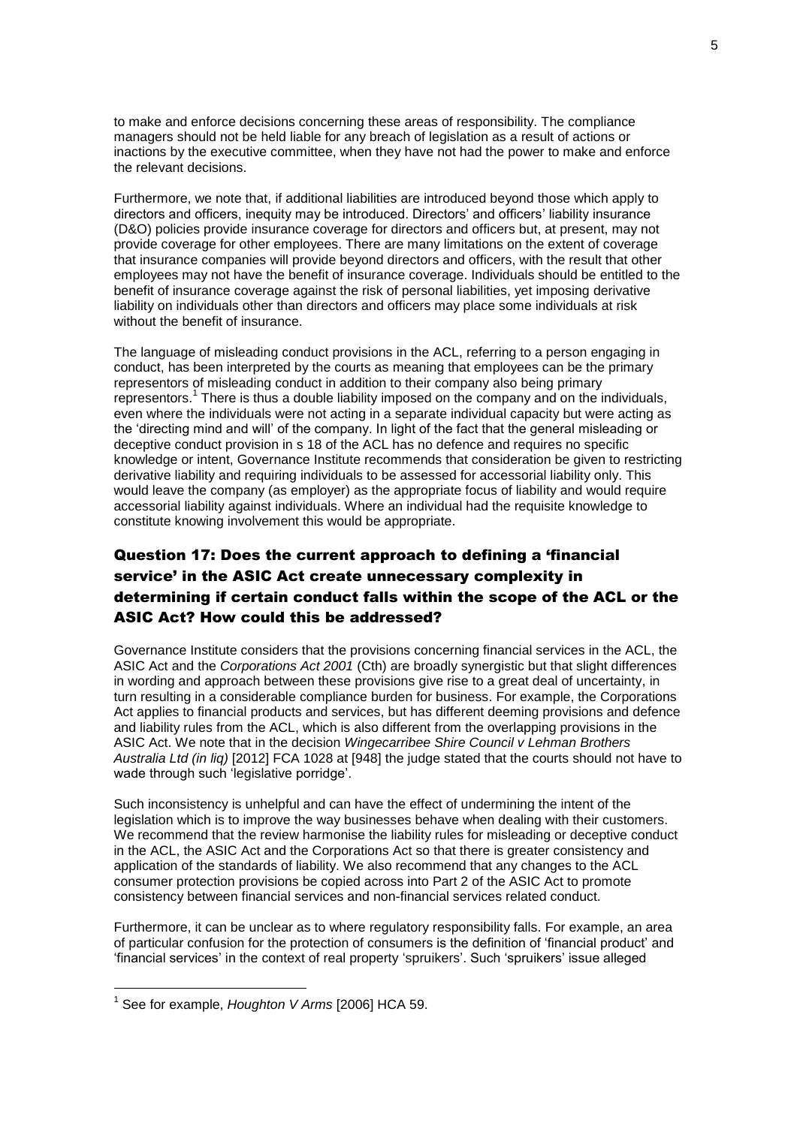to make and enforce decisions concerning these areas of responsibility. The compliance managers should not be held liable for any breach of legislation as a result of actions or inactions by the executive committee, when they have not had the power to make and enforce the relevant decisions.

Furthermore, we note that, if additional liabilities are introduced beyond those which apply to directors and officers, inequity may be introduced. Directors' and officers' liability insurance (D&O) policies provide insurance coverage for directors and officers but, at present, may not provide coverage for other employees. There are many limitations on the extent of coverage that insurance companies will provide beyond directors and officers, with the result that other employees may not have the benefit of insurance coverage. Individuals should be entitled to the benefit of insurance coverage against the risk of personal liabilities, yet imposing derivative liability on individuals other than directors and officers may place some individuals at risk without the benefit of insurance.

The language of misleading conduct provisions in the ACL, referring to a person engaging in conduct, has been interpreted by the courts as meaning that employees can be the primary representors of misleading conduct in addition to their company also being primary representors.<sup>1</sup> There is thus a double liability imposed on the company and on the individuals, even where the individuals were not acting in a separate individual capacity but were acting as the 'directing mind and will' of the company. In light of the fact that the general misleading or deceptive conduct provision in s 18 of the ACL has no defence and requires no specific knowledge or intent, Governance Institute recommends that consideration be given to restricting derivative liability and requiring individuals to be assessed for accessorial liability only. This would leave the company (as employer) as the appropriate focus of liability and would require accessorial liability against individuals. Where an individual had the requisite knowledge to constitute knowing involvement this would be appropriate.

# Question 17: Does the current approach to defining a 'financial service' in the ASIC Act create unnecessary complexity in determining if certain conduct falls within the scope of the ACL or the ASIC Act? How could this be addressed?

Governance Institute considers that the provisions concerning financial services in the ACL, the ASIC Act and the *Corporations Act 2001* (Cth) are broadly synergistic but that slight differences in wording and approach between these provisions give rise to a great deal of uncertainty, in turn resulting in a considerable compliance burden for business. For example, the Corporations Act applies to financial products and services, but has different deeming provisions and defence and liability rules from the ACL, which is also different from the overlapping provisions in the ASIC Act. We note that in the decision *Wingecarribee Shire Council v Lehman Brothers Australia Ltd (in liq)* [2012] FCA 1028 at [948] the judge stated that the courts should not have to wade through such 'legislative porridge'.

Such inconsistency is unhelpful and can have the effect of undermining the intent of the legislation which is to improve the way businesses behave when dealing with their customers. We recommend that the review harmonise the liability rules for misleading or deceptive conduct in the ACL, the ASIC Act and the Corporations Act so that there is greater consistency and application of the standards of liability. We also recommend that any changes to the ACL consumer protection provisions be copied across into Part 2 of the ASIC Act to promote consistency between financial services and non-financial services related conduct.

Furthermore, it can be unclear as to where regulatory responsibility falls. For example, an area of particular confusion for the protection of consumers is the definition of 'financial product' and 'financial services' in the context of real property 'spruikers'. Such 'spruikers' issue alleged

1

<sup>1</sup> See for example, *Houghton V Arms* [2006] HCA 59.